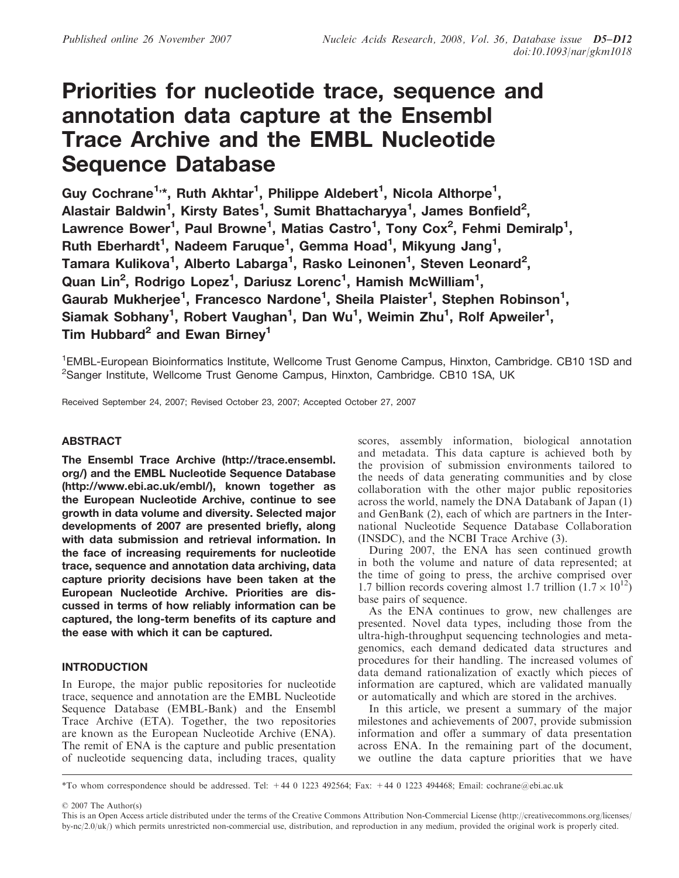# Priorities for nucleotide trace, sequence and annotation data capture at the Ensembl Trace Archive and the EMBL Nucleotide Sequence Database

Guy Cochrane<sup>1,\*</sup>, Ruth Akhtar<sup>1</sup>, Philippe Aldebert<sup>1</sup>, Nicola Althorpe<sup>1</sup>, Alastair Baldwin<sup>1</sup>, Kirsty Bates<sup>1</sup>, Sumit Bhattacharyya<sup>1</sup>, James Bonfield<sup>2</sup>, Lawrence Bower<sup>1</sup>, Paul Browne<sup>1</sup>, Matias Castro<sup>1</sup>, Tony Cox<sup>2</sup>, Fehmi Demiralp<sup>1</sup>, Ruth Eberhardt<sup>1</sup>, Nadeem Faruque<sup>1</sup>, Gemma Hoad<sup>1</sup>, Mikyung Jang<sup>1</sup>, Tamara Kulikova<sup>1</sup>, Alberto Labarga<sup>1</sup>, Rasko Leinonen<sup>1</sup>, Steven Leonard<sup>2</sup>, Quan Lin<sup>2</sup>, Rodrigo Lopez<sup>1</sup>, Dariusz Lorenc<sup>1</sup>, Hamish McWilliam<sup>1</sup>, Gaurab Mukherjee<sup>1</sup>, Francesco Nardone<sup>1</sup>, Sheila Plaister<sup>1</sup>, Stephen Robinson<sup>1</sup>, Siamak Sobhany<sup>1</sup>, Robert Vaughan<sup>1</sup>, Dan Wu<sup>1</sup>, Weimin Zhu<sup>1</sup>, Rolf Apweiler<sup>1</sup>, Tim Hubbard<sup>2</sup> and Ewan Birnev<sup>1</sup>

<sup>1</sup>EMBL-European Bioinformatics Institute, Wellcome Trust Genome Campus, Hinxton, Cambridge. CB10 1SD and <sup>2</sup>Sanger Institute, Wellcome Trust Genome Campus, Hinxton, Cambridge. CB10 1SA, UK

Received September 24, 2007; Revised October 23, 2007; Accepted October 27, 2007

# ABSTRACT

The Ensembl Trace Archive (http://trace.ensembl. org/) and the EMBL Nucleotide Sequence Database (http://www.ebi.ac.uk/embl/), known together as the European Nucleotide Archive, continue to see growth in data volume and diversity. Selected major developments of 2007 are presented briefly, along with data submission and retrieval information. In the face of increasing requirements for nucleotide trace, sequence and annotation data archiving, data capture priority decisions have been taken at the European Nucleotide Archive. Priorities are discussed in terms of how reliably information can be captured, the long-term benefits of its capture and the ease with which it can be captured.

# INTRODUCTION

In Europe, the major public repositories for nucleotide trace, sequence and annotation are the EMBL Nucleotide Sequence Database (EMBL-Bank) and the Ensembl Trace Archive (ETA). Together, the two repositories are known as the European Nucleotide Archive (ENA). The remit of ENA is the capture and public presentation of nucleotide sequencing data, including traces, quality scores, assembly information, biological annotation and metadata. This data capture is achieved both by the provision of submission environments tailored to the needs of data generating communities and by close collaboration with the other major public repositories across the world, namely the DNA Databank of Japan (1) and GenBank (2), each of which are partners in the International Nucleotide Sequence Database Collaboration (INSDC), and the NCBI Trace Archive (3).

During 2007, the ENA has seen continued growth in both the volume and nature of data represented; at the time of going to press, the archive comprised over 1.7 billion records covering almost 1.7 trillion  $(1.7 \times 10^{12})$ base pairs of sequence.

As the ENA continues to grow, new challenges are presented. Novel data types, including those from the ultra-high-throughput sequencing technologies and metagenomics, each demand dedicated data structures and procedures for their handling. The increased volumes of data demand rationalization of exactly which pieces of information are captured, which are validated manually or automatically and which are stored in the archives.

In this article, we present a summary of the major milestones and achievements of 2007, provide submission information and offer a summary of data presentation across ENA. In the remaining part of the document, we outline the data capture priorities that we have

\*To whom correspondence should be addressed. Tel: +44 0 1223 492564; Fax: +44 0 1223 494468; Email: cochrane@ebi.ac.uk

2007 The Author(s)

This is an Open Access article distributed under the terms of the Creative Commons Attribution Non-Commercial License (http://creativecommons.org/licenses/  $by-nc/2.0/uk)$  which permits unrestricted non-commercial use, distribution, and reproduction in any medium, provided the original work is properly cited.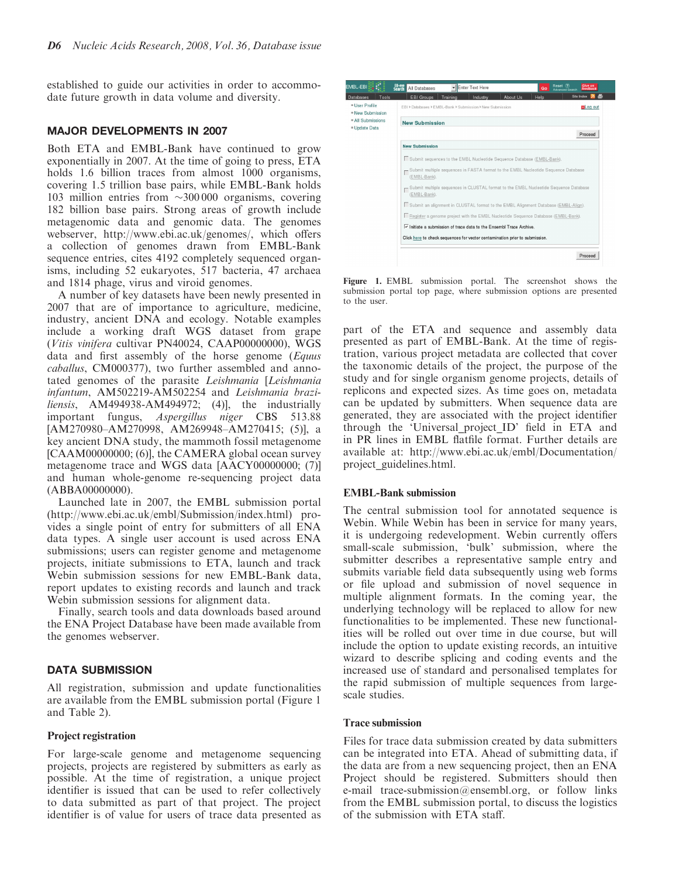established to guide our activities in order to accommodate future growth in data volume and diversity.

## MAJOR DEVELOPMENTS IN 2007

Both ETA and EMBL-Bank have continued to grow exponentially in 2007. At the time of going to press, ETA holds 1.6 billion traces from almost 1000 organisms, covering 1.5 trillion base pairs, while EMBL-Bank holds 103 million entries from  $\sim$ 300000 organisms, covering 182 billion base pairs. Strong areas of growth include metagenomic data and genomic data. The genomes webserver, http://www.ebi.ac.uk/genomes/, which offers a collection of genomes drawn from EMBL-Bank sequence entries, cites 4192 completely sequenced organisms, including 52 eukaryotes, 517 bacteria, 47 archaea and 1814 phage, virus and viroid genomes.

A number of key datasets have been newly presented in 2007 that are of importance to agriculture, medicine, industry, ancient DNA and ecology. Notable examples include a working draft WGS dataset from grape (Vitis vinifera cultivar PN40024, CAAP00000000), WGS data and first assembly of the horse genome (Equus caballus, CM000377), two further assembled and annotated genomes of the parasite Leishmania [Leishmania infantum, AM502219-AM502254 and Leishmania braziliensis, AM494938-AM494972; (4)], the industrially important fungus, Aspergillus niger CBS 513.88 [AM270980–AM270998, AM269948–AM270415; (5)], a key ancient DNA study, the mammoth fossil metagenome [CAAM00000000; (6)], the CAMERA global ocean survey metagenome trace and WGS data [AACY00000000; (7)] and human whole-genome re-sequencing project data  $(ABBA00000000)$ .

Launched late in 2007, the EMBL submission portal (http://www.ebi.ac.uk/embl/Submission/index.html) provides a single point of entry for submitters of all ENA data types. A single user account is used across ENA submissions; users can register genome and metagenome projects, initiate submissions to ETA, launch and track Webin submission sessions for new EMBL-Bank data, report updates to existing records and launch and track Webin submission sessions for alignment data.

Finally, search tools and data downloads based around the ENA Project Database have been made available from the genomes webserver.

# DATA SUBMISSION

All registration, submission and update functionalities are available from the EMBL submission portal (Figure 1 and Table 2).

## Project registration

For large-scale genome and metagenome sequencing projects, projects are registered by submitters as early as possible. At the time of registration, a unique project identifier is issued that can be used to refer collectively to data submitted as part of that project. The project identifier is of value for users of trace data presented as

| = User Profile<br>= New Submission   | EBI > Databases > EMBL-Bank > Submission > New Submission                                            | <b>Ed</b> Log out |  |  |
|--------------------------------------|------------------------------------------------------------------------------------------------------|-------------------|--|--|
| $=$ All Submissions<br>= Update Data | <b>New Submission</b>                                                                                |                   |  |  |
|                                      |                                                                                                      | Proceed           |  |  |
|                                      | <b>New Submission</b>                                                                                |                   |  |  |
|                                      | □ Submit sequences to the EMBL Nucleotide Sequence Database (EMBL-Bank).                             |                   |  |  |
|                                      | Submit multiple sequences in FASTA format to the EMBL Nucleotide Sequence Database<br>(EMBL-Bank).   |                   |  |  |
|                                      | Submit multiple sequences in CLUSTAL format to the EMBL Nucleotide Sequence Database<br>(EMBL-Bank). |                   |  |  |
|                                      | Submit an alignment in CLUSTAL format to the EMBL Alignment Database (EMBL-Align).                   |                   |  |  |
|                                      | Register a genome project with the EMBL Nucleotide Sequence Database (EMBL-Bank).                    |                   |  |  |
|                                      | Iv Initiate a submission of trace data to the Ensembl Trace Archive.                                 |                   |  |  |
|                                      |                                                                                                      |                   |  |  |

Figure 1. EMBL submission portal. The screenshot shows the submission portal top page, where submission options are presented to the user.

part of the ETA and sequence and assembly data presented as part of EMBL-Bank. At the time of registration, various project metadata are collected that cover the taxonomic details of the project, the purpose of the study and for single organism genome projects, details of replicons and expected sizes. As time goes on, metadata can be updated by submitters. When sequence data are generated, they are associated with the project identifier through the 'Universal project ID' field in ETA and in PR lines in EMBL flatfile format. Further details are available at: http://www.ebi.ac.uk/embl/Documentation/ project\_guidelines.html.

## EMBL-Bank submission

The central submission tool for annotated sequence is Webin. While Webin has been in service for many years, it is undergoing redevelopment. Webin currently offers small-scale submission, 'bulk' submission, where the submitter describes a representative sample entry and submits variable field data subsequently using web forms or file upload and submission of novel sequence in multiple alignment formats. In the coming year, the underlying technology will be replaced to allow for new functionalities to be implemented. These new functionalities will be rolled out over time in due course, but will include the option to update existing records, an intuitive wizard to describe splicing and coding events and the increased use of standard and personalised templates for the rapid submission of multiple sequences from largescale studies.

## Trace submission

Files for trace data submission created by data submitters can be integrated into ETA. Ahead of submitting data, if the data are from a new sequencing project, then an ENA Project should be registered. Submitters should then e-mail trace-submission@ensembl.org, or follow links from the EMBL submission portal, to discuss the logistics of the submission with ETA staff.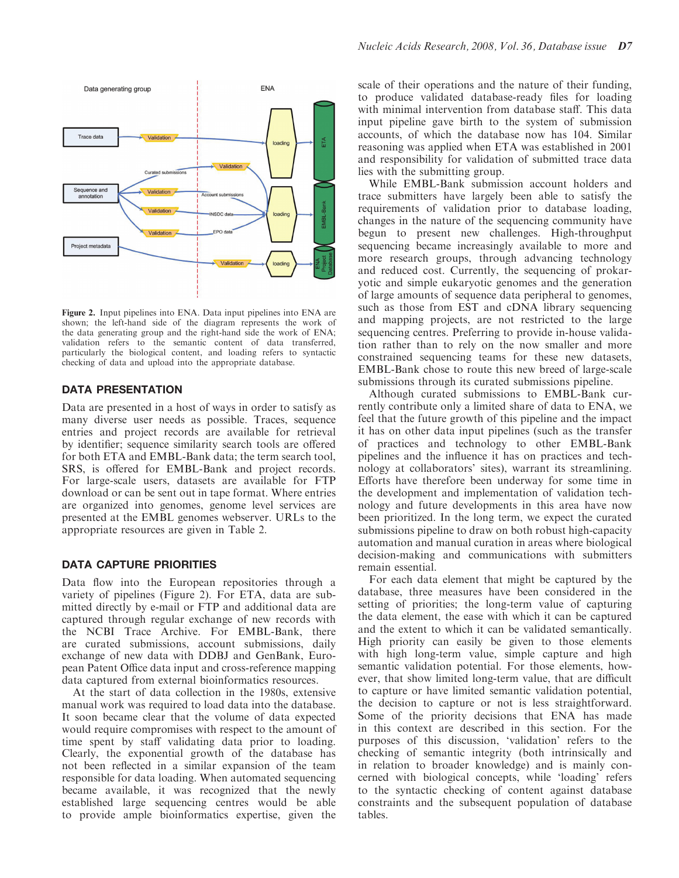

Figure 2. Input pipelines into ENA. Data input pipelines into ENA are shown; the left-hand side of the diagram represents the work of the data generating group and the right-hand side the work of ENA; validation refers to the semantic content of data transferred, particularly the biological content, and loading refers to syntactic checking of data and upload into the appropriate database.

## DATA PRESENTATION

Data are presented in a host of ways in order to satisfy as many diverse user needs as possible. Traces, sequence entries and project records are available for retrieval by identifier; sequence similarity search tools are offered for both ETA and EMBL-Bank data; the term search tool, SRS, is offered for EMBL-Bank and project records. For large-scale users, datasets are available for FTP download or can be sent out in tape format. Where entries are organized into genomes, genome level services are presented at the EMBL genomes webserver. URLs to the appropriate resources are given in Table 2.

## DATA CAPTURE PRIORITIES

Data flow into the European repositories through a variety of pipelines (Figure 2). For ETA, data are submitted directly by e-mail or FTP and additional data are captured through regular exchange of new records with the NCBI Trace Archive. For EMBL-Bank, there are curated submissions, account submissions, daily exchange of new data with DDBJ and GenBank, European Patent Office data input and cross-reference mapping data captured from external bioinformatics resources.

At the start of data collection in the 1980s, extensive manual work was required to load data into the database. It soon became clear that the volume of data expected would require compromises with respect to the amount of time spent by staff validating data prior to loading. Clearly, the exponential growth of the database has not been reflected in a similar expansion of the team responsible for data loading. When automated sequencing became available, it was recognized that the newly established large sequencing centres would be able to provide ample bioinformatics expertise, given the scale of their operations and the nature of their funding, to produce validated database-ready files for loading with minimal intervention from database staff. This data input pipeline gave birth to the system of submission accounts, of which the database now has 104. Similar reasoning was applied when ETA was established in 2001 and responsibility for validation of submitted trace data lies with the submitting group.

While EMBL-Bank submission account holders and trace submitters have largely been able to satisfy the requirements of validation prior to database loading, changes in the nature of the sequencing community have begun to present new challenges. High-throughput sequencing became increasingly available to more and more research groups, through advancing technology and reduced cost. Currently, the sequencing of prokaryotic and simple eukaryotic genomes and the generation of large amounts of sequence data peripheral to genomes, such as those from EST and cDNA library sequencing and mapping projects, are not restricted to the large sequencing centres. Preferring to provide in-house validation rather than to rely on the now smaller and more constrained sequencing teams for these new datasets, EMBL-Bank chose to route this new breed of large-scale submissions through its curated submissions pipeline.

Although curated submissions to EMBL-Bank currently contribute only a limited share of data to ENA, we feel that the future growth of this pipeline and the impact it has on other data input pipelines (such as the transfer of practices and technology to other EMBL-Bank pipelines and the influence it has on practices and technology at collaborators' sites), warrant its streamlining. Efforts have therefore been underway for some time in the development and implementation of validation technology and future developments in this area have now been prioritized. In the long term, we expect the curated submissions pipeline to draw on both robust high-capacity automation and manual curation in areas where biological decision-making and communications with submitters remain essential.

For each data element that might be captured by the database, three measures have been considered in the setting of priorities; the long-term value of capturing the data element, the ease with which it can be captured and the extent to which it can be validated semantically. High priority can easily be given to those elements with high long-term value, simple capture and high semantic validation potential. For those elements, however, that show limited long-term value, that are difficult to capture or have limited semantic validation potential, the decision to capture or not is less straightforward. Some of the priority decisions that ENA has made in this context are described in this section. For the purposes of this discussion, 'validation' refers to the checking of semantic integrity (both intrinsically and in relation to broader knowledge) and is mainly concerned with biological concepts, while 'loading' refers to the syntactic checking of content against database constraints and the subsequent population of database tables.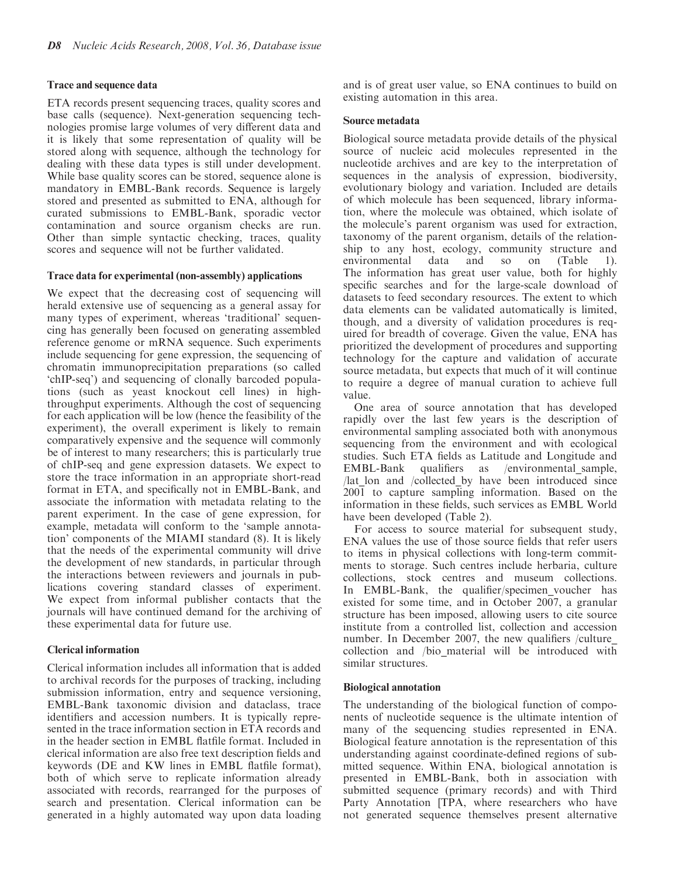## Trace and sequence data

ETA records present sequencing traces, quality scores and base calls (sequence). Next-generation sequencing technologies promise large volumes of very different data and it is likely that some representation of quality will be stored along with sequence, although the technology for dealing with these data types is still under development. While base quality scores can be stored, sequence alone is mandatory in EMBL-Bank records. Sequence is largely stored and presented as submitted to ENA, although for curated submissions to EMBL-Bank, sporadic vector contamination and source organism checks are run. Other than simple syntactic checking, traces, quality scores and sequence will not be further validated.

## Trace data for experimental (non-assembly) applications

We expect that the decreasing cost of sequencing will herald extensive use of sequencing as a general assay for many types of experiment, whereas 'traditional' sequencing has generally been focused on generating assembled reference genome or mRNA sequence. Such experiments include sequencing for gene expression, the sequencing of chromatin immunoprecipitation preparations (so called 'chIP-seq') and sequencing of clonally barcoded populations (such as yeast knockout cell lines) in highthroughput experiments. Although the cost of sequencing for each application will be low (hence the feasibility of the experiment), the overall experiment is likely to remain comparatively expensive and the sequence will commonly be of interest to many researchers; this is particularly true of chIP-seq and gene expression datasets. We expect to store the trace information in an appropriate short-read format in ETA, and specifically not in EMBL-Bank, and associate the information with metadata relating to the parent experiment. In the case of gene expression, for example, metadata will conform to the 'sample annotation' components of the MIAMI standard (8). It is likely that the needs of the experimental community will drive the development of new standards, in particular through the interactions between reviewers and journals in publications covering standard classes of experiment. We expect from informal publisher contacts that the journals will have continued demand for the archiving of these experimental data for future use.

# Clerical information

Clerical information includes all information that is added to archival records for the purposes of tracking, including submission information, entry and sequence versioning, EMBL-Bank taxonomic division and dataclass, trace identifiers and accession numbers. It is typically represented in the trace information section in ETA records and in the header section in EMBL flatfile format. Included in clerical information are also free text description fields and keywords (DE and KW lines in EMBL flatfile format), both of which serve to replicate information already associated with records, rearranged for the purposes of search and presentation. Clerical information can be generated in a highly automated way upon data loading

and is of great user value, so ENA continues to build on existing automation in this area.

#### Source metadata

Biological source metadata provide details of the physical source of nucleic acid molecules represented in the nucleotide archives and are key to the interpretation of sequences in the analysis of expression, biodiversity, evolutionary biology and variation. Included are details of which molecule has been sequenced, library information, where the molecule was obtained, which isolate of the molecule's parent organism was used for extraction, taxonomy of the parent organism, details of the relationship to any host, ecology, community structure and environmental data and so on (Table 1). The information has great user value, both for highly specific searches and for the large-scale download of datasets to feed secondary resources. The extent to which data elements can be validated automatically is limited, though, and a diversity of validation procedures is required for breadth of coverage. Given the value, ENA has prioritized the development of procedures and supporting technology for the capture and validation of accurate source metadata, but expects that much of it will continue to require a degree of manual curation to achieve full value.

One area of source annotation that has developed rapidly over the last few years is the description of environmental sampling associated both with anonymous sequencing from the environment and with ecological studies. Such ETA fields as Latitude and Longitude and EMBL-Bank qualifiers as /environmental\_sample, /lat\_lon and /collected\_by have been introduced since 2001 to capture sampling information. Based on the information in these fields, such services as EMBL World have been developed (Table 2).

For access to source material for subsequent study, ENA values the use of those source fields that refer users to items in physical collections with long-term commitments to storage. Such centres include herbaria, culture collections, stock centres and museum collections. In EMBL-Bank, the qualifier/specimen voucher has existed for some time, and in October 2007, a granular structure has been imposed, allowing users to cite source institute from a controlled list, collection and accession number. In December 2007, the new qualifiers /culture\_ collection and /bio\_material will be introduced with similar structures.

## Biological annotation

The understanding of the biological function of components of nucleotide sequence is the ultimate intention of many of the sequencing studies represented in ENA. Biological feature annotation is the representation of this understanding against coordinate-defined regions of submitted sequence. Within ENA, biological annotation is presented in EMBL-Bank, both in association with submitted sequence (primary records) and with Third Party Annotation [TPA, where researchers who have not generated sequence themselves present alternative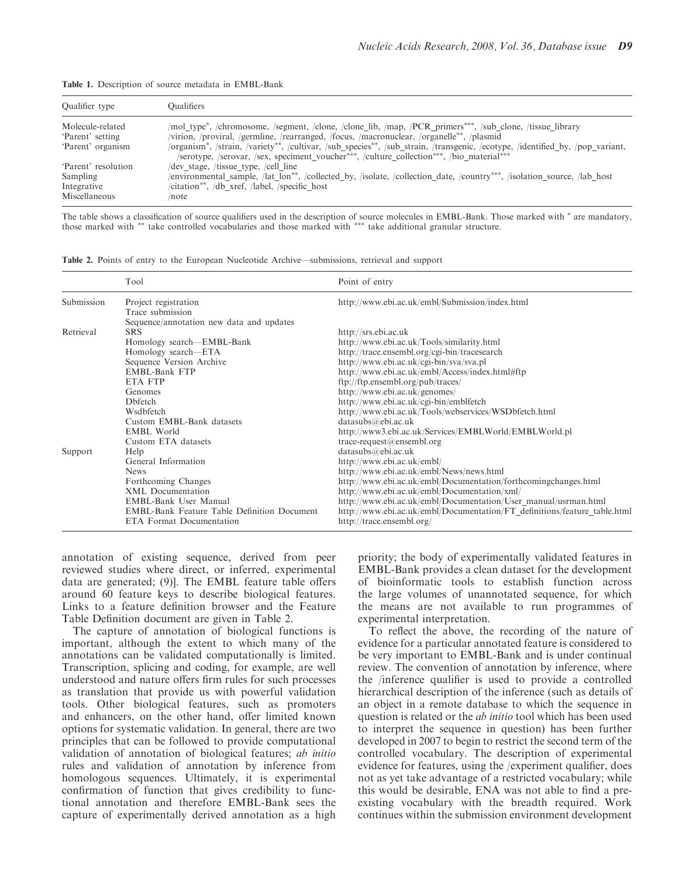| Qualifier type      | <b>Oualifiers</b>                                                                                                                                                                                                          |  |  |
|---------------------|----------------------------------------------------------------------------------------------------------------------------------------------------------------------------------------------------------------------------|--|--|
| Molecule-related    | /mol type*, /chromosome, /segment, /clone, /clone lib, /map, /PCR primers***, /sub clone, /tissue library                                                                                                                  |  |  |
| Parent' setting     | /virion, /proviral, /germline, /rearranged, /focus, /macronuclear, /organelle**, /plasmid                                                                                                                                  |  |  |
| 'Parent' organism   | /organism*, /strain, /variety**, /cultivar, /sub_species**, /sub_strain, /transgenic, /ecotype, /identified by, /pop variant,<br>/serotype, /serovar, /sex, speciment voucher***, /culture collection***, /bio material*** |  |  |
| 'Parent' resolution | dev stage, <i>tissue</i> type, <i>cell line</i>                                                                                                                                                                            |  |  |
| Sampling            | environmental sample, /lat lon**, /collected by, /isolate, /collection date, /country***, /isolation source, /lab host                                                                                                     |  |  |
| Integrative         | /citation**, /db xref, /label, /specific host                                                                                                                                                                              |  |  |
| Miscellaneous       | note                                                                                                                                                                                                                       |  |  |

Table 1. Description of source metadata in EMBL-Bank

The table shows a classification of source qualifiers used in the description of source molecules in EMBL-Bank. Those marked with \* are mandatory, those marked with \*\* take controlled vocabularies and those marked with \*\*\* take additional granular structure.

Table 2. Points of entry to the European Nucleotide Archive—submissions, retrieval and support

|            | Tool                                               | Point of entry                                                            |
|------------|----------------------------------------------------|---------------------------------------------------------------------------|
| Submission | Project registration<br>Trace submission           | http://www.ebi.ac.uk/embl/Submission/index.html                           |
|            | Sequence/annotation new data and updates           |                                                                           |
| Retrieval  | <b>SRS</b>                                         | http://srs.ebi.ac.uk                                                      |
|            | Homology search—EMBL-Bank                          | http://www.ebi.ac.uk/Tools/similarity.html                                |
|            | Homology search-ETA                                | http://trace.ensembl.org/cgi-bin/tracesearch                              |
|            | Sequence Version Archive                           | http://www.ebi.ac.uk/cgi-bin/sva/sva.pl                                   |
|            | <b>EMBL-Bank FTP</b>                               | http://www.ebi.ac.uk/embl/Access/index.html#ftp                           |
|            | <b>ETA FTP</b>                                     | ftp://ftp.ensembl.org/pub/traces/                                         |
|            | Genomes                                            | http://www.ebi.ac.uk/genomes/                                             |
|            | <b>Dhfetch</b>                                     | http://www.ebi.ac.uk/cgi-bin/emblfetch                                    |
|            | Wsdbfetch                                          | http://www.ebi.ac.uk/Tools/webservices/WSDbfetch.html                     |
|            | Custom EMBL-Bank datasets                          | $d$ atasubs@ebi.ac.uk                                                     |
|            | <b>EMBL World</b>                                  | http://www3.ebi.ac.uk/Services/EMBLWorld/EMBLWorld.pl                     |
|            | Custom ETA datasets                                | trace-request@ensembl.org                                                 |
| Support    | Help                                               | datasubs@ebi.ac.uk                                                        |
|            | General Information                                | http://www.ebi.ac.uk/embl/                                                |
|            | <b>News</b>                                        | http://www.ebi.ac.uk/embl/News/news.html                                  |
|            | Forthcoming Changes                                | http://www.ebi.ac.uk/embl/Documentation/forthcomingchanges.html           |
|            | XML Documentation                                  | http://www.ebi.ac.uk/embl/Documentation/xml/                              |
|            | <b>EMBL-Bank User Manual</b>                       | http://www.ebi.ac.uk/embl/Documentation/User_manual/usrman.html           |
|            | <b>EMBL-Bank Feature Table Definition Document</b> | http://www.ebi.ac.uk/embl/Documentation/FT definitions/feature table.html |
|            | <b>ETA</b> Format Documentation                    | http://trace.ensembl.org/                                                 |

annotation of existing sequence, derived from peer reviewed studies where direct, or inferred, experimental data are generated; (9)]. The EMBL feature table offers around 60 feature keys to describe biological features. Links to a feature definition browser and the Feature Table Definition document are given in Table 2.

The capture of annotation of biological functions is important, although the extent to which many of the annotations can be validated computationally is limited. Transcription, splicing and coding, for example, are well understood and nature offers firm rules for such processes as translation that provide us with powerful validation tools. Other biological features, such as promoters and enhancers, on the other hand, offer limited known options for systematic validation. In general, there are two principles that can be followed to provide computational validation of annotation of biological features; ab initio rules and validation of annotation by inference from homologous sequences. Ultimately, it is experimental confirmation of function that gives credibility to functional annotation and therefore EMBL-Bank sees the capture of experimentally derived annotation as a high priority; the body of experimentally validated features in EMBL-Bank provides a clean dataset for the development of bioinformatic tools to establish function across the large volumes of unannotated sequence, for which the means are not available to run programmes of experimental interpretation.

To reflect the above, the recording of the nature of evidence for a particular annotated feature is considered to be very important to EMBL-Bank and is under continual review. The convention of annotation by inference, where the /inference qualifier is used to provide a controlled hierarchical description of the inference (such as details of an object in a remote database to which the sequence in question is related or the *ab initio* tool which has been used to interpret the sequence in question) has been further developed in 2007 to begin to restrict the second term of the controlled vocabulary. The description of experimental evidence for features, using the /experiment qualifier, does not as yet take advantage of a restricted vocabulary; while this would be desirable, ENA was not able to find a preexisting vocabulary with the breadth required. Work continues within the submission environment development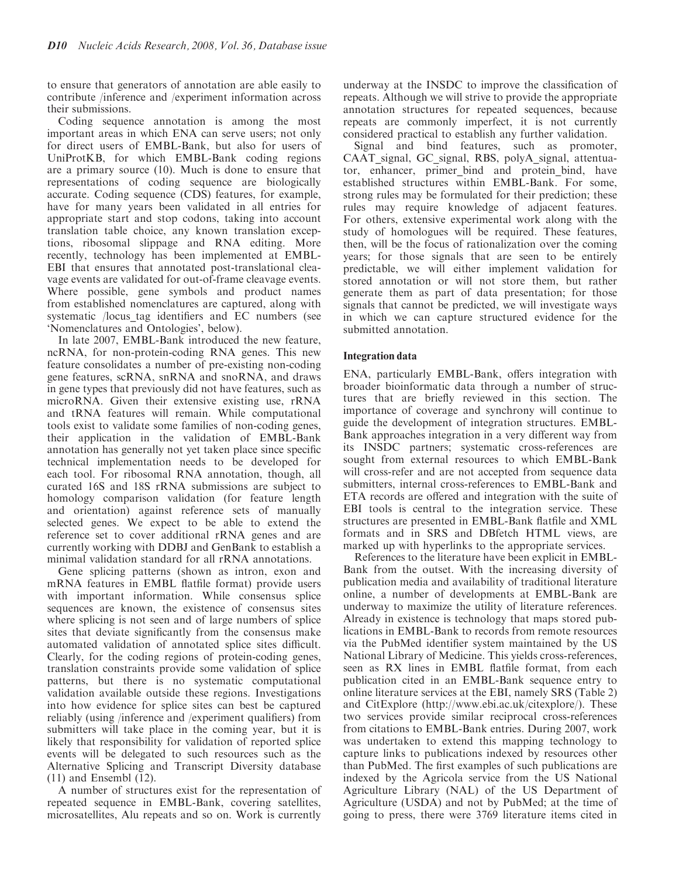to ensure that generators of annotation are able easily to contribute /inference and /experiment information across their submissions.

Coding sequence annotation is among the most important areas in which ENA can serve users; not only for direct users of EMBL-Bank, but also for users of UniProtKB, for which EMBL-Bank coding regions are a primary source (10). Much is done to ensure that representations of coding sequence are biologically accurate. Coding sequence (CDS) features, for example, have for many years been validated in all entries for appropriate start and stop codons, taking into account translation table choice, any known translation exceptions, ribosomal slippage and RNA editing. More recently, technology has been implemented at EMBL-EBI that ensures that annotated post-translational cleavage events are validated for out-of-frame cleavage events. Where possible, gene symbols and product names from established nomenclatures are captured, along with systematic /locus tag identifiers and EC numbers (see 'Nomenclatures and Ontologies', below).

In late 2007, EMBL-Bank introduced the new feature, ncRNA, for non-protein-coding RNA genes. This new feature consolidates a number of pre-existing non-coding gene features, scRNA, snRNA and snoRNA, and draws in gene types that previously did not have features, such as microRNA. Given their extensive existing use, rRNA and tRNA features will remain. While computational tools exist to validate some families of non-coding genes, their application in the validation of EMBL-Bank annotation has generally not yet taken place since specific technical implementation needs to be developed for each tool. For ribosomal RNA annotation, though, all curated 16S and 18S rRNA submissions are subject to homology comparison validation (for feature length and orientation) against reference sets of manually selected genes. We expect to be able to extend the reference set to cover additional rRNA genes and are currently working with DDBJ and GenBank to establish a minimal validation standard for all rRNA annotations.

Gene splicing patterns (shown as intron, exon and mRNA features in EMBL flatfile format) provide users with important information. While consensus splice sequences are known, the existence of consensus sites where splicing is not seen and of large numbers of splice sites that deviate significantly from the consensus make automated validation of annotated splice sites difficult. Clearly, for the coding regions of protein-coding genes, translation constraints provide some validation of splice patterns, but there is no systematic computational validation available outside these regions. Investigations into how evidence for splice sites can best be captured reliably (using /inference and /experiment qualifiers) from submitters will take place in the coming year, but it is likely that responsibility for validation of reported splice events will be delegated to such resources such as the Alternative Splicing and Transcript Diversity database (11) and Ensembl (12).

A number of structures exist for the representation of repeated sequence in EMBL-Bank, covering satellites, microsatellites, Alu repeats and so on. Work is currently

underway at the INSDC to improve the classification of repeats. Although we will strive to provide the appropriate annotation structures for repeated sequences, because repeats are commonly imperfect, it is not currently considered practical to establish any further validation.

Signal and bind features, such as promoter, CAAT signal, GC signal, RBS, polyA signal, attentuator, enhancer, primer bind and protein bind, have established structures within EMBL-Bank. For some, strong rules may be formulated for their prediction; these rules may require knowledge of adjacent features. For others, extensive experimental work along with the study of homologues will be required. These features, then, will be the focus of rationalization over the coming years; for those signals that are seen to be entirely predictable, we will either implement validation for stored annotation or will not store them, but rather generate them as part of data presentation; for those signals that cannot be predicted, we will investigate ways in which we can capture structured evidence for the submitted annotation.

## Integration data

ENA, particularly EMBL-Bank, offers integration with broader bioinformatic data through a number of structures that are briefly reviewed in this section. The importance of coverage and synchrony will continue to guide the development of integration structures. EMBL-Bank approaches integration in a very different way from its INSDC partners; systematic cross-references are sought from external resources to which EMBL-Bank will cross-refer and are not accepted from sequence data submitters, internal cross-references to EMBL-Bank and ETA records are offered and integration with the suite of EBI tools is central to the integration service. These structures are presented in EMBL-Bank flatfile and XML formats and in SRS and DBfetch HTML views, are marked up with hyperlinks to the appropriate services.

References to the literature have been explicit in EMBL-Bank from the outset. With the increasing diversity of publication media and availability of traditional literature online, a number of developments at EMBL-Bank are underway to maximize the utility of literature references. Already in existence is technology that maps stored publications in EMBL-Bank to records from remote resources via the PubMed identifier system maintained by the US National Library of Medicine. This yields cross-references, seen as RX lines in EMBL flatfile format, from each publication cited in an EMBL-Bank sequence entry to online literature services at the EBI, namely SRS (Table 2) and CitExplore (http://www.ebi.ac.uk/citexplore/). These two services provide similar reciprocal cross-references from citations to EMBL-Bank entries. During 2007, work was undertaken to extend this mapping technology to capture links to publications indexed by resources other than PubMed. The first examples of such publications are indexed by the Agricola service from the US National Agriculture Library (NAL) of the US Department of Agriculture (USDA) and not by PubMed; at the time of going to press, there were 3769 literature items cited in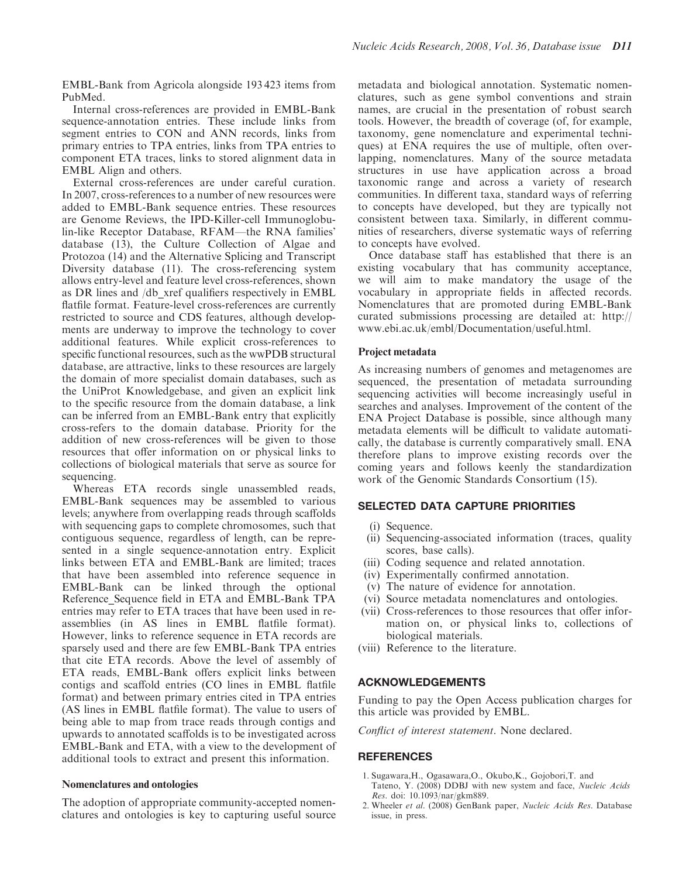EMBL-Bank from Agricola alongside 193 423 items from PubMed.

Internal cross-references are provided in EMBL-Bank sequence-annotation entries. These include links from segment entries to CON and ANN records, links from primary entries to TPA entries, links from TPA entries to component ETA traces, links to stored alignment data in EMBL Align and others.

External cross-references are under careful curation. In 2007, cross-references to a number of new resources were added to EMBL-Bank sequence entries. These resources are Genome Reviews, the IPD-Killer-cell Immunoglobulin-like Receptor Database, RFAM—the RNA families' database (13), the Culture Collection of Algae and Protozoa (14) and the Alternative Splicing and Transcript Diversity database (11). The cross-referencing system allows entry-level and feature level cross-references, shown as DR lines and /db\_xref qualifiers respectively in EMBL flatfile format. Feature-level cross-references are currently restricted to source and CDS features, although developments are underway to improve the technology to cover additional features. While explicit cross-references to specific functional resources, such as the wwPDB structural database, are attractive, links to these resources are largely the domain of more specialist domain databases, such as the UniProt Knowledgebase, and given an explicit link to the specific resource from the domain database, a link can be inferred from an EMBL-Bank entry that explicitly cross-refers to the domain database. Priority for the addition of new cross-references will be given to those resources that offer information on or physical links to collections of biological materials that serve as source for sequencing.

Whereas ETA records single unassembled reads, EMBL-Bank sequences may be assembled to various levels; anywhere from overlapping reads through scaffolds with sequencing gaps to complete chromosomes, such that contiguous sequence, regardless of length, can be represented in a single sequence-annotation entry. Explicit links between ETA and EMBL-Bank are limited; traces that have been assembled into reference sequence in EMBL-Bank can be linked through the optional Reference Sequence field in ETA and EMBL-Bank TPA entries may refer to ETA traces that have been used in reassemblies (in AS lines in EMBL flatfile format). However, links to reference sequence in ETA records are sparsely used and there are few EMBL-Bank TPA entries that cite ETA records. Above the level of assembly of ETA reads, EMBL-Bank offers explicit links between contigs and scaffold entries (CO lines in EMBL flatfile format) and between primary entries cited in TPA entries (AS lines in EMBL flatfile format). The value to users of being able to map from trace reads through contigs and upwards to annotated scaffolds is to be investigated across EMBL-Bank and ETA, with a view to the development of additional tools to extract and present this information.

## Nomenclatures and ontologies

The adoption of appropriate community-accepted nomenclatures and ontologies is key to capturing useful source metadata and biological annotation. Systematic nomenclatures, such as gene symbol conventions and strain names, are crucial in the presentation of robust search tools. However, the breadth of coverage (of, for example, taxonomy, gene nomenclature and experimental techniques) at ENA requires the use of multiple, often overlapping, nomenclatures. Many of the source metadata structures in use have application across a broad taxonomic range and across a variety of research communities. In different taxa, standard ways of referring to concepts have developed, but they are typically not consistent between taxa. Similarly, in different communities of researchers, diverse systematic ways of referring to concepts have evolved.

Once database staff has established that there is an existing vocabulary that has community acceptance, we will aim to make mandatory the usage of the vocabulary in appropriate fields in affected records. Nomenclatures that are promoted during EMBL-Bank curated submissions processing are detailed at: http:// www.ebi.ac.uk/embl/Documentation/useful.html.

## Project metadata

As increasing numbers of genomes and metagenomes are sequenced, the presentation of metadata surrounding sequencing activities will become increasingly useful in searches and analyses. Improvement of the content of the ENA Project Database is possible, since although many metadata elements will be difficult to validate automatically, the database is currently comparatively small. ENA therefore plans to improve existing records over the coming years and follows keenly the standardization work of the Genomic Standards Consortium (15).

# SELECTED DATA CAPTURE PRIORITIES

- (i) Sequence.
- (ii) Sequencing-associated information (traces, quality scores, base calls).
- (iii) Coding sequence and related annotation.
- (iv) Experimentally confirmed annotation.
- (v) The nature of evidence for annotation.
- (vi) Source metadata nomenclatures and ontologies.
- (vii) Cross-references to those resources that offer information on, or physical links to, collections of biological materials.
- (viii) Reference to the literature.

## ACKNOWLEDGEMENTS

Funding to pay the Open Access publication charges for this article was provided by EMBL.

Conflict of interest statement. None declared.

## REFERENCES

- 1. Sugawara,H., Ogasawara,O., Okubo,K., Gojobori,T. and Tateno, Y. (2008) DDBJ with new system and face, Nucleic Acids Res. doi: 10.1093/nar/gkm889.
- 2. Wheeler et al. (2008) GenBank paper, Nucleic Acids Res. Database issue, in press.